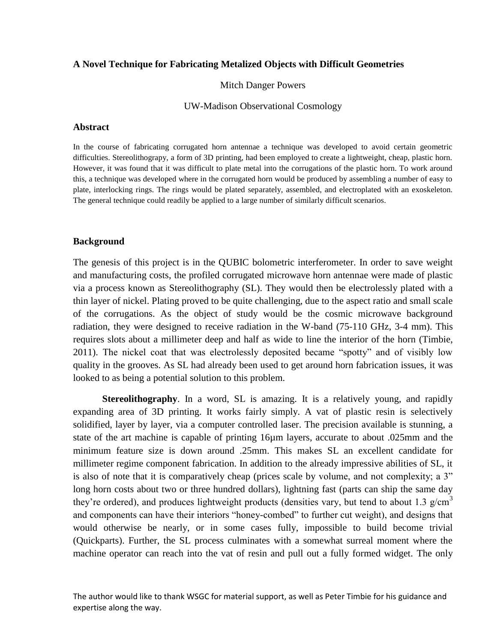## **A Novel Technique for Fabricating Metalized Objects with Difficult Geometries**

Mitch Danger Powers

#### UW-Madison Observational Cosmology

#### **Abstract**

In the course of fabricating corrugated horn antennae a technique was developed to avoid certain geometric difficulties. Stereolithograpy, a form of 3D printing, had been employed to create a lightweight, cheap, plastic horn. However, it was found that it was difficult to plate metal into the corrugations of the plastic horn. To work around this, a technique was developed where in the corrugated horn would be produced by assembling a number of easy to plate, interlocking rings. The rings would be plated separately, assembled, and electroplated with an exoskeleton. The general technique could readily be applied to a large number of similarly difficult scenarios.

### **Background**

The genesis of this project is in the QUBIC bolometric interferometer. In order to save weight and manufacturing costs, the profiled corrugated microwave horn antennae were made of plastic via a process known as Stereolithography (SL). They would then be electrolessly plated with a thin layer of nickel. Plating proved to be quite challenging, due to the aspect ratio and small scale of the corrugations. As the object of study would be the cosmic microwave background radiation, they were designed to receive radiation in the W-band (75-110 GHz, 3-4 mm). This requires slots about a millimeter deep and half as wide to line the interior of the horn (Timbie, 2011). The nickel coat that was electrolessly deposited became "spotty" and of visibly low quality in the grooves. As SL had already been used to get around horn fabrication issues, it was looked to as being a potential solution to this problem.

**Stereolithography**. In a word, SL is amazing. It is a relatively young, and rapidly expanding area of 3D printing. It works fairly simply. A vat of plastic resin is selectively solidified, layer by layer, via a computer controlled laser. The precision available is stunning, a state of the art machine is capable of printing 16µm layers, accurate to about .025mm and the minimum feature size is down around .25mm. This makes SL an excellent candidate for millimeter regime component fabrication. In addition to the already impressive abilities of SL, it is also of note that it is comparatively cheap (prices scale by volume, and not complexity; a 3" long horn costs about two or three hundred dollars), lightning fast (parts can ship the same day they're ordered), and produces lightweight products (densities vary, but tend to about 1.3 g/cm<sup>3</sup> and components can have their interiors "honey-combed" to further cut weight), and designs that would otherwise be nearly, or in some cases fully, impossible to build become trivial (Quickparts). Further, the SL process culminates with a somewhat surreal moment where the machine operator can reach into the vat of resin and pull out a fully formed widget. The only

The author would like to thank WSGC for material support, as well as Peter Timbie for his guidance and expertise along the way.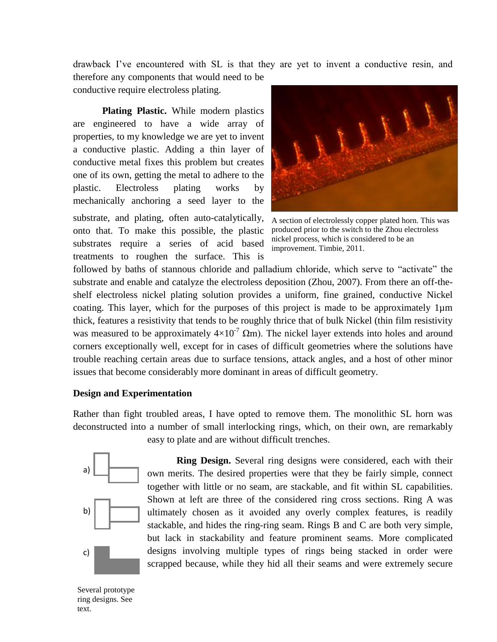drawback I've encountered with SL is that they are yet to invent a conductive resin, and therefore any components that would need to be

conductive require electroless plating.

**Plating Plastic.** While modern plastics are engineered to have a wide array of properties, to my knowledge we are yet to invent a conductive plastic. Adding a thin layer of conductive metal fixes this problem but creates one of its own, getting the metal to adhere to the plastic. Electroless plating works by mechanically anchoring a seed layer to the substrate, and plating, often auto-catalytically, onto that. To make this possible, the plastic substrates require a series of acid based treatments to roughen the surface. This is



A section of electrolessly copper plated horn. This was produced prior to the switch to the Zhou electroless nickel process, which is considered to be an improvement. Timbie, 2011.

followed by baths of stannous chloride and palladium chloride, which serve to "activate" the substrate and enable and catalyze the electroless deposition (Zhou, 2007). From there an off-theshelf electroless nickel plating solution provides a uniform, fine grained, conductive Nickel coating. This layer, which for the purposes of this project is made to be approximately 1µm thick, features a resistivity that tends to be roughly thrice that of bulk Nickel (thin film resistivity was measured to be approximately  $4\times10^{-7}$  Qm). The nickel layer extends into holes and around corners exceptionally well, except for in cases of difficult geometries where the solutions have trouble reaching certain areas due to surface tensions, attack angles, and a host of other minor issues that become considerably more dominant in areas of difficult geometry.

# **Design and Experimentation**

Rather than fight troubled areas, I have opted to remove them. The monolithic SL horn was deconstructed into a number of small interlocking rings, which, on their own, are remarkably



easy to plate and are without difficult trenches.

**Ring Design.** Several ring designs were considered, each with their own merits. The desired properties were that they be fairly simple, connect together with little or no seam, are stackable, and fit within SL capabilities. Shown at left are three of the considered ring cross sections. Ring A was ultimately chosen as it avoided any overly complex features, is readily stackable, and hides the ring-ring seam. Rings B and C are both very simple, but lack in stackability and feature prominent seams. More complicated designs involving multiple types of rings being stacked in order were scrapped because, while they hid all their seams and were extremely secure

Several prototype ring designs. See text.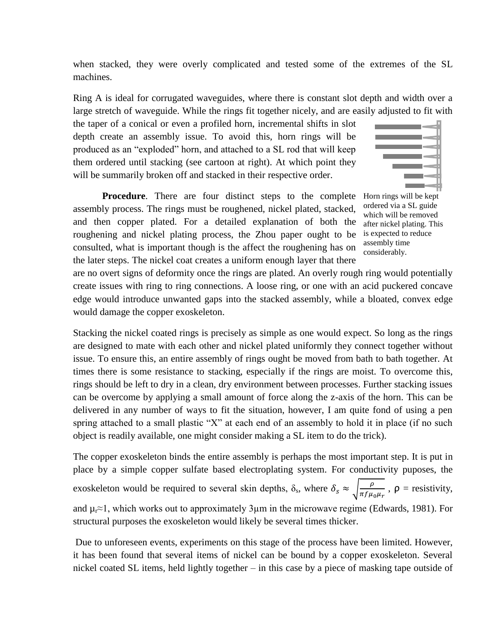when stacked, they were overly complicated and tested some of the extremes of the SL machines.

Ring A is ideal for corrugated waveguides, where there is constant slot depth and width over a large stretch of waveguide. While the rings fit together nicely, and are easily adjusted to fit with

the taper of a conical or even a profiled horn, incremental shifts in slot depth create an assembly issue. To avoid this, horn rings will be produced as an "exploded" horn, and attached to a SL rod that will keep them ordered until stacking (see cartoon at right). At which point they will be summarily broken off and stacked in their respective order.

**Procedure**. There are four distinct steps to the complete assembly process. The rings must be roughened, nickel plated, stacked, and then copper plated. For a detailed explanation of both the roughening and nickel plating process, the Zhou paper ought to be consulted, what is important though is the affect the roughening has on the later steps. The nickel coat creates a uniform enough layer that there

Horn rings will be kept ordered via a SL guide which will be removed after nickel plating. This is expected to reduce assembly time considerably.

are no overt signs of deformity once the rings are plated. An overly rough ring would potentially create issues with ring to ring connections. A loose ring, or one with an acid puckered concave edge would introduce unwanted gaps into the stacked assembly, while a bloated, convex edge would damage the copper exoskeleton.

Stacking the nickel coated rings is precisely as simple as one would expect. So long as the rings are designed to mate with each other and nickel plated uniformly they connect together without issue. To ensure this, an entire assembly of rings ought be moved from bath to bath together. At times there is some resistance to stacking, especially if the rings are moist. To overcome this, rings should be left to dry in a clean, dry environment between processes. Further stacking issues can be overcome by applying a small amount of force along the z-axis of the horn. This can be delivered in any number of ways to fit the situation, however, I am quite fond of using a pen spring attached to a small plastic "X" at each end of an assembly to hold it in place (if no such object is readily available, one might consider making a SL item to do the trick).

The copper exoskeleton binds the entire assembly is perhaps the most important step. It is put in place by a simple copper sulfate based electroplating system. For conductivity puposes, the exoskeleton would be required to several skin depths,  $\delta_s$ , where  $\delta_s \approx \sqrt{\frac{\rho}{\pi f u}}$  $\frac{\rho}{\pi f \mu_0 \mu_r}$ ,  $\rho$  = resistivity, and  $\mu_r \approx 1$ , which works out to approximately 3 $\mu$ m in the microwave regime (Edwards, 1981). For structural purposes the exoskeleton would likely be several times thicker.

Due to unforeseen events, experiments on this stage of the process have been limited. However, it has been found that several items of nickel can be bound by a copper exoskeleton. Several nickel coated SL items, held lightly together – in this case by a piece of masking tape outside of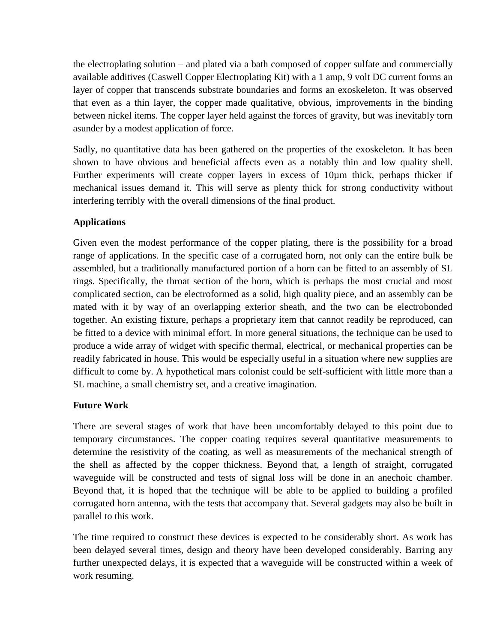the electroplating solution – and plated via a bath composed of copper sulfate and commercially available additives (Caswell Copper Electroplating Kit) with a 1 amp, 9 volt DC current forms an layer of copper that transcends substrate boundaries and forms an exoskeleton. It was observed that even as a thin layer, the copper made qualitative, obvious, improvements in the binding between nickel items. The copper layer held against the forces of gravity, but was inevitably torn asunder by a modest application of force.

Sadly, no quantitative data has been gathered on the properties of the exoskeleton. It has been shown to have obvious and beneficial affects even as a notably thin and low quality shell. Further experiments will create copper layers in excess of 10µm thick, perhaps thicker if mechanical issues demand it. This will serve as plenty thick for strong conductivity without interfering terribly with the overall dimensions of the final product.

# **Applications**

Given even the modest performance of the copper plating, there is the possibility for a broad range of applications. In the specific case of a corrugated horn, not only can the entire bulk be assembled, but a traditionally manufactured portion of a horn can be fitted to an assembly of SL rings. Specifically, the throat section of the horn, which is perhaps the most crucial and most complicated section, can be electroformed as a solid, high quality piece, and an assembly can be mated with it by way of an overlapping exterior sheath, and the two can be electrobonded together. An existing fixture, perhaps a proprietary item that cannot readily be reproduced, can be fitted to a device with minimal effort. In more general situations, the technique can be used to produce a wide array of widget with specific thermal, electrical, or mechanical properties can be readily fabricated in house. This would be especially useful in a situation where new supplies are difficult to come by. A hypothetical mars colonist could be self-sufficient with little more than a SL machine, a small chemistry set, and a creative imagination.

# **Future Work**

There are several stages of work that have been uncomfortably delayed to this point due to temporary circumstances. The copper coating requires several quantitative measurements to determine the resistivity of the coating, as well as measurements of the mechanical strength of the shell as affected by the copper thickness. Beyond that, a length of straight, corrugated waveguide will be constructed and tests of signal loss will be done in an anechoic chamber. Beyond that, it is hoped that the technique will be able to be applied to building a profiled corrugated horn antenna, with the tests that accompany that. Several gadgets may also be built in parallel to this work.

The time required to construct these devices is expected to be considerably short. As work has been delayed several times, design and theory have been developed considerably. Barring any further unexpected delays, it is expected that a waveguide will be constructed within a week of work resuming.